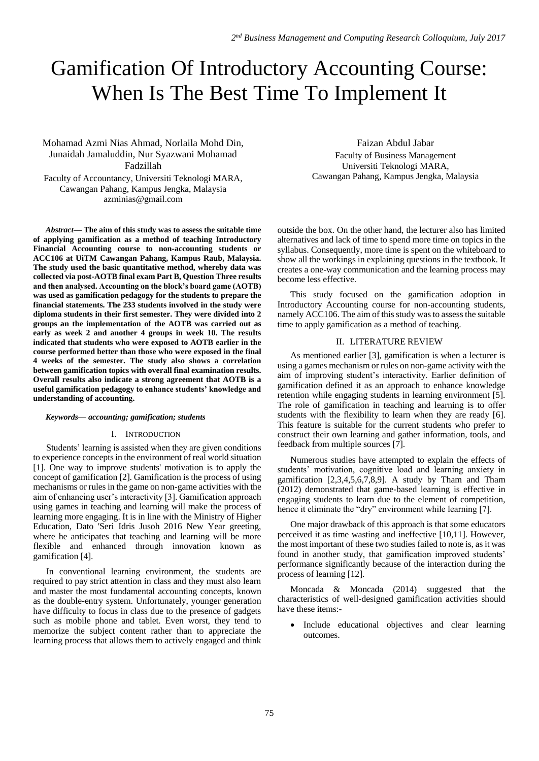# Gamification Of Introductory Accounting Course: When Is The Best Time To Implement It

Mohamad Azmi Nias Ahmad, Norlaila Mohd Din, Junaidah Jamaluddin, Nur Syazwani Mohamad Fadzillah Faculty of Accountancy, Universiti Teknologi MARA,

Cawangan Pahang, Kampus Jengka, Malaysia azminias@gmail.com

*Abstract***— The aim of this study was to assess the suitable time of applying gamification as a method of teaching Introductory Financial Accounting course to non-accounting students or ACC106 at UiTM Cawangan Pahang, Kampus Raub, Malaysia. The study used the basic quantitative method, whereby data was collected via post-AOTB final exam Part B, Question Three results and then analysed. Accounting on the block's board game (AOTB) was used as gamification pedagogy for the students to prepare the financial statements. The 233 students involved in the study were diploma students in their first semester. They were divided into 2 groups an the implementation of the AOTB was carried out as early as week 2 and another 4 groups in week 10. The results indicated that students who were exposed to AOTB earlier in the course performed better than those who were exposed in the final 4 weeks of the semester. The study also shows a correlation between gamification topics with overall final examination results. Overall results also indicate a strong agreement that AOTB is a useful gamification pedagogy to enhance students' knowledge and understanding of accounting.** 

# *Keywords— accounting; gamification; students*

#### I. INTRODUCTION

Students' learning is assisted when they are given conditions to experience concepts in the environment of real world situation [1]. One way to improve students' motivation is to apply the concept of gamification [2]. Gamification is the process of using mechanisms or rules in the game on non-game activities with the aim of enhancing user's interactivity [3]. Gamification approach using games in teaching and learning will make the process of learning more engaging. It is in line with the Ministry of Higher Education, Dato 'Seri Idris Jusoh 2016 New Year greeting, where he anticipates that teaching and learning will be more flexible and enhanced through innovation known as gamification [4].

In conventional learning environment, the students are required to pay strict attention in class and they must also learn and master the most fundamental accounting concepts, known as the double-entry system. Unfortunately, younger generation have difficulty to focus in class due to the presence of gadgets such as mobile phone and tablet. Even worst, they tend to memorize the subject content rather than to appreciate the learning process that allows them to actively engaged and think

Faizan Abdul Jabar Faculty of Business Management Universiti Teknologi MARA, Cawangan Pahang, Kampus Jengka, Malaysia

outside the box. On the other hand, the lecturer also has limited alternatives and lack of time to spend more time on topics in the syllabus. Consequently, more time is spent on the whiteboard to show all the workings in explaining questions in the textbook. It creates a one-way communication and the learning process may become less effective.

This study focused on the gamification adoption in Introductory Accounting course for non-accounting students, namely ACC106. The aim of this study was to assess the suitable time to apply gamification as a method of teaching.

# II. LITERATURE REVIEW

As mentioned earlier [3], gamification is when a lecturer is using a games mechanism or rules on non-game activity with the aim of improving student's interactivity. Earlier definition of gamification defined it as an approach to enhance knowledge retention while engaging students in learning environment [5]. The role of gamification in teaching and learning is to offer students with the flexibility to learn when they are ready [6]. This feature is suitable for the current students who prefer to construct their own learning and gather information, tools, and feedback from multiple sources [7].

Numerous studies have attempted to explain the effects of students' motivation, cognitive load and learning anxiety in gamification  $[2,3,4,5,6,7,8,9]$ . A study by Tham and Tham (2012) demonstrated that game-based learning is effective in engaging students to learn due to the element of competition, hence it eliminate the "dry" environment while learning [7].

One major drawback of this approach is that some educators perceived it as time wasting and ineffective [10,11]. However, the most important of these two studies failed to note is, as it was found in another study, that gamification improved students' performance significantly because of the interaction during the process of learning [12].

Moncada & Moncada (2014) suggested that the characteristics of well-designed gamification activities should have these items:-

 Include educational objectives and clear learning outcomes.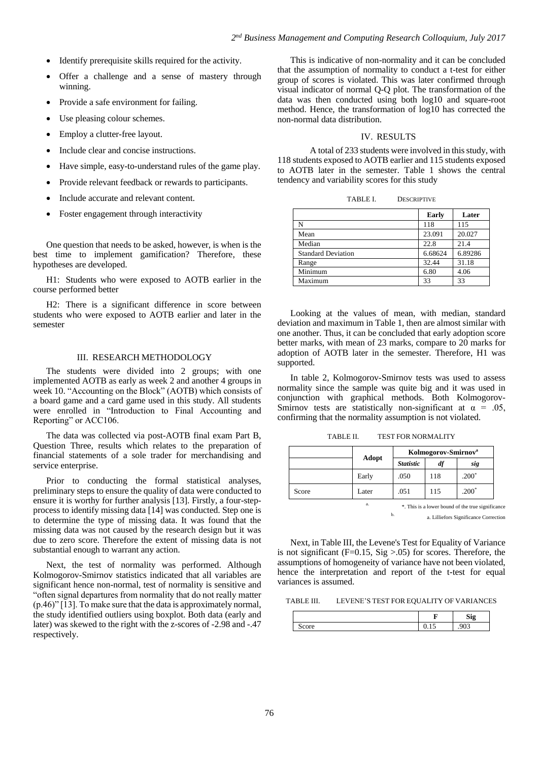- Identify prerequisite skills required for the activity.
- Offer a challenge and a sense of mastery through winning.
- Provide a safe environment for failing.
- Use pleasing colour schemes.
- Employ a clutter-free layout.
- Include clear and concise instructions.
- Have simple, easy-to-understand rules of the game play.
- Provide relevant feedback or rewards to participants.
- Include accurate and relevant content.
- Foster engagement through interactivity

One question that needs to be asked, however, is when is the best time to implement gamification? Therefore, these hypotheses are developed.

H1: Students who were exposed to AOTB earlier in the course performed better

H2: There is a significant difference in score between students who were exposed to AOTB earlier and later in the semester

#### III. RESEARCH METHODOLOGY

The students were divided into 2 groups; with one implemented AOTB as early as week 2 and another 4 groups in week 10. "Accounting on the Block" (AOTB) which consists of a board game and a card game used in this study. All students were enrolled in "Introduction to Final Accounting and Reporting" or ACC106.

The data was collected via post-AOTB final exam Part B, Question Three, results which relates to the preparation of financial statements of a sole trader for merchandising and service enterprise.

Prior to conducting the formal statistical analyses, preliminary steps to ensure the quality of data were conducted to ensure it is worthy for further analysis [13]. Firstly, a four-stepprocess to identify missing data [14] was conducted. Step one is to determine the type of missing data. It was found that the missing data was not caused by the research design but it was due to zero score. Therefore the extent of missing data is not substantial enough to warrant any action.

Next, the test of normality was performed. Although Kolmogorov-Smirnov statistics indicated that all variables are significant hence non-normal, test of normality is sensitive and "often signal departures from normality that do not really matter (p.46)" [13]. To make sure that the data is approximately normal, the study identified outliers using boxplot. Both data (early and later) was skewed to the right with the z-scores of -2.98 and -.47 respectively.

This is indicative of non-normality and it can be concluded that the assumption of normality to conduct a t-test for either group of scores is violated. This was later confirmed through visual indicator of normal Q-Q plot. The transformation of the data was then conducted using both log10 and square-root method. Hence, the transformation of log10 has corrected the non-normal data distribution.

# IV. RESULTS

A total of 233 students were involved in this study, with 118 students exposed to AOTB earlier and 115 students exposed to AOTB later in the semester. Table 1 shows the central tendency and variability scores for this study

| TABLE I.<br><b>DESCRIPTIVE</b> |  |
|--------------------------------|--|
|--------------------------------|--|

|                           | Early   | Later   |
|---------------------------|---------|---------|
| N                         | 118     | 115     |
| Mean                      | 23.091  | 20.027  |
| Median                    | 22.8    | 21.4    |
| <b>Standard Deviation</b> | 6.68624 | 6.89286 |
| Range                     | 32.44   | 31.18   |
| Minimum                   | 6.80    | 4.06    |
| Maximum                   | 33      | 33      |

Looking at the values of mean, with median, standard deviation and maximum in Table 1, then are almost similar with one another. Thus, it can be concluded that early adoption score better marks, with mean of 23 marks, compare to 20 marks for adoption of AOTB later in the semester. Therefore, H1 was supported.

In table 2, Kolmogorov-Smirnov tests was used to assess normality since the sample was quite big and it was used in conjunction with graphical methods. Both Kolmogorov-Smirnov tests are statistically non-significant at  $\alpha = .05$ , confirming that the normality assumption is not violated.

TABLE II. TEST FOR NORMALITY

|       |       | Kolmogorov-Smirnov <sup>a</sup> |                |                                                   |
|-------|-------|---------------------------------|----------------|---------------------------------------------------|
|       | Adopt | <b>Statistic</b>                | $\mathbf{d}$ f | sig                                               |
|       | Early | .050                            | 118            | $.200*$                                           |
| Score | Later | .051                            | 115            | $.200*$                                           |
|       | a.    |                                 |                | *. This is a lower bound of the true significance |

b. a. Lilliefors Significance Correction

Next, in Table III, the Levene's Test for Equality of Variance is not significant ( $F=0.15$ ,  $Sig > .05$ ) for scores. Therefore, the assumptions of homogeneity of variance have not been violated, hence the interpretation and report of the t-test for equal variances is assumed.

TABLE III. LEVENE'S TEST FOR EQUALITY OF VARIANCES